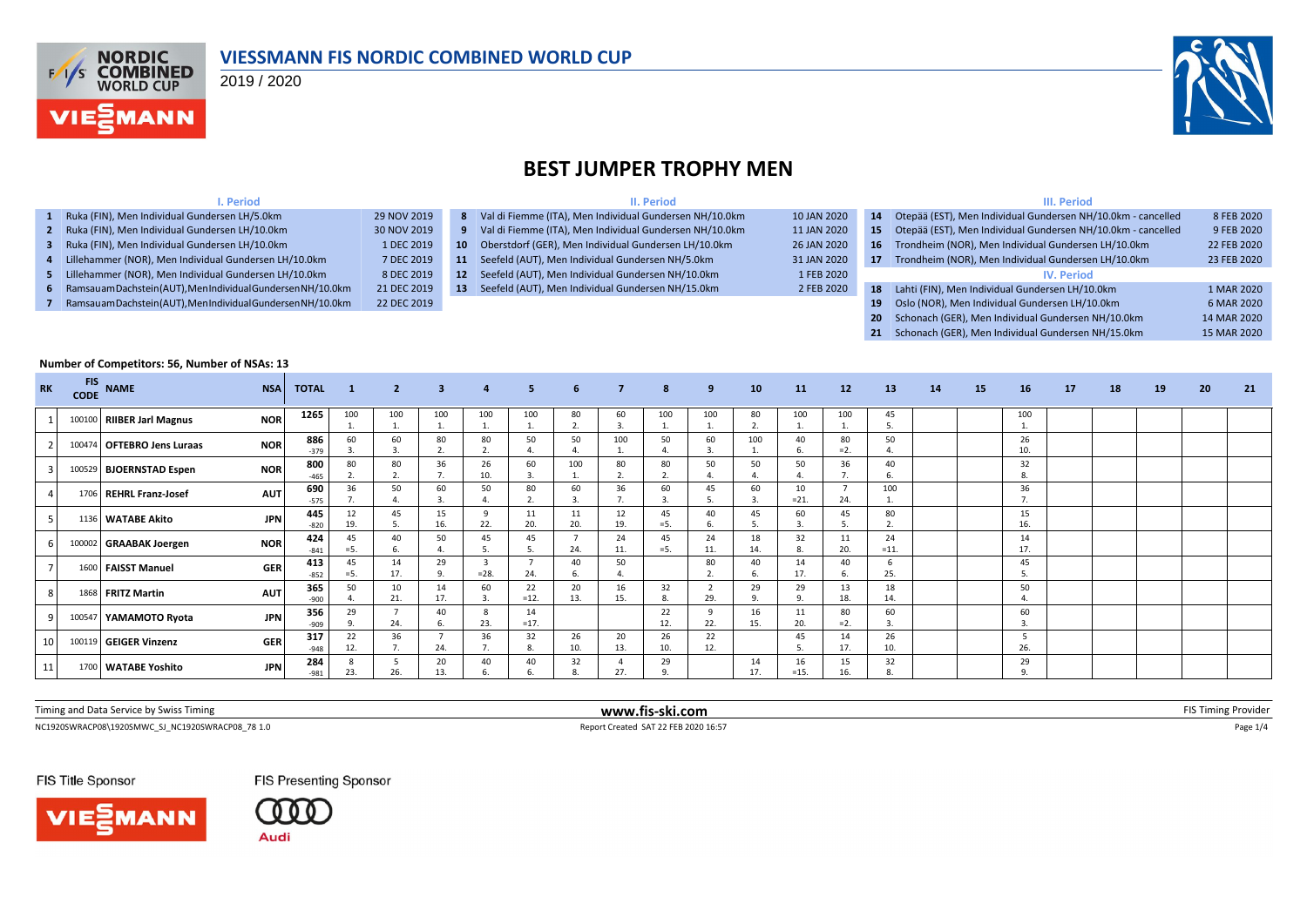

#### **VIESSMANN FIS NORDIC COMBINED WORLD CUP**

2019 / 2020



#### **BEST JUMPER TROPHY MEN**

|             |    | II. Period                                              |             |    | III. Period                                                  |             |
|-------------|----|---------------------------------------------------------|-------------|----|--------------------------------------------------------------|-------------|
| 9 NOV 2019  | 8  | Val di Fiemme (ITA), Men Individual Gundersen NH/10.0km | 10 JAN 2020 | 14 | Otepää (EST), Men Individual Gundersen NH/10.0km - cancelled | 8 FEB 2020  |
| 0 NOV 2019  | 9  | Val di Fiemme (ITA), Men Individual Gundersen NH/10.0km | 11 JAN 2020 | 15 | Otepää (EST), Men Individual Gundersen NH/10.0km - cancelled | 9 FEB 2020  |
| 1 DEC 2019  | 10 | Oberstdorf (GER), Men Individual Gundersen LH/10.0km    | 26 JAN 2020 | 16 | Trondheim (NOR), Men Individual Gundersen LH/10.0km          | 22 FEB 2020 |
| 7 DEC 2019  | 11 | Seefeld (AUT), Men Individual Gundersen NH/5.0km        | 31 JAN 2020 | 17 | Trondheim (NOR), Men Individual Gundersen LH/10.0km          | 23 FEB 2020 |
| 8 DEC 2019  | 12 | Seefeld (AUT), Men Individual Gundersen NH/10.0km       | 1 FEB 2020  |    | <b>IV. Period</b>                                            |             |
| 21 DEC 2019 | 13 | Seefeld (AUT), Men Individual Gundersen NH/15.0km       | 2 FEB 2020  | 18 | Lahti (FIN), Men Individual Gundersen LH/10.0km              | 1 MAR 2020  |
| 22 DEC 2019 |    |                                                         |             | 19 | Oslo (NOR), Men Individual Gundersen LH/10.0km               | 6 MAR 2020  |
|             |    |                                                         |             | 20 | Schonach (GER). Men Individual Gundersen NH/10.0km           | 14 MAR 2020 |

#### **I. Period 1** Ruka (FIN), Men Individual Gundersen LH/5.0km **2** Ruka (FIN), Men Individual Gundersen LH/10.0km **3** Ruka (FIN), Men Individual Gundersen LH/10.0km **4** Lillehammer (NOR), Men Individual Gundersen LH/10.0km **5** Lillehammer (NOR), Men Individual Gundersen LH/10.0km **6** Ramsau am Dachstein (AUT), Men Individual Gundersen NH/10.0km **7** Ramsau am Dachstein (AUT), Men Individual Gundersen NH/10.0km **20** Schonach (GER), Men Individual Gundersen NH/10.0km 14 MAR 2020 **21** Schonach (GER), Men Individual Gundersen NH/15.0km 15 MAR 2020 **Number of Competitors: 56, Number of NSAs: 13**

| <b>RK</b> | <b>FIS</b> | CODE NAME                  | <b>NSA</b> | <b>TOTAL</b>  | $\mathbf{1}$ | $\overline{2}$ | 3 <sup>2</sup> | $\overline{4}$       | 5 <sup>1</sup> | 6         | $\overline{7}$     | 8              | 9         | 10        | 11            | 12           | 13           | 14 | 15 | 16             | 17 | 18 | 19 | 20 | 21 |
|-----------|------------|----------------------------|------------|---------------|--------------|----------------|----------------|----------------------|----------------|-----------|--------------------|----------------|-----------|-----------|---------------|--------------|--------------|----|----|----------------|----|----|----|----|----|
|           |            | 100100 RIIBER Jarl Magnus  | <b>NOR</b> | 1265          | 100          | 100            | 100            | 100                  | 100            | 80<br>2.  | 60                 | 100            | 100       | 80<br>z.  | 100           | 100          | 45<br>5.     |    |    | 100            |    |    |    |    |    |
|           |            | 100474 OFTEBRO Jens Luraas | <b>NOR</b> | 886<br>$-379$ | 60           | 60             | 80             | 80<br>$\overline{2}$ | 50             | 50        | 100                | 50             | 60        | 100       | 40            | 80<br>$=2.$  | 50           |    |    | 26<br>10.      |    |    |    |    |    |
|           |            | 100529 BJOERNSTAD Espen    | <b>NOR</b> | 800<br>$-465$ | 80           | 80             | 36             | 26<br>10.            | 60             | 100       | 80                 | 80             | 50        | 50        | 50            | 36           | 40           |    |    | 32             |    |    |    |    |    |
|           |            | 1706 REHRL Franz-Josef     | <b>AUT</b> | 690<br>$-575$ | 36           | 50             | 60             | 50                   | 80             | 60        | 36                 | 60             | 45        | 60        | 10<br>$=21.$  | 24.          | 100          |    |    | 36             |    |    |    |    |    |
|           |            | 1136 WATABE Akito          | <b>JPN</b> | 445<br>$-820$ | 12<br>19.    | 45             | 15<br>16.      | $\Omega$<br>22.      | 11<br>20.      | 11<br>20. | 12<br>19.          | 45<br>$= 5.$   | 40        | 45        | 60            | 45           | 80           |    |    | 15<br>16.      |    |    |    |    |    |
|           |            | 100002 GRAABAK Joergen     | <b>NOR</b> | 424<br>$-841$ | 45<br>$= 5.$ | 40             | 50             | 45                   | 45             | 24.       | 24<br>11.          | 45<br>$= 5.$   | 24<br>11. | 18<br>14. | 32            | 11<br>20.    | 24<br>$=11.$ |    |    | 14<br>17.      |    |    |    |    |    |
|           |            | 1600 FAISST Manuel         | <b>GER</b> | 413<br>$-852$ | 45<br>$= 5.$ | 14<br>17.      | 29<br>9.       | $=28.$               | 24.            | 40        | 50                 |                | 80        | 40<br>6.  | 14<br>17.     | 40           | -6<br>25.    |    |    | 45             |    |    |    |    |    |
|           |            | 1868 FRITZ Martin          | <b>AUT</b> | 365<br>-900   | 50           | 10<br>21.      | 14<br>17.      | 60                   | 22<br>$=12.$   | 20<br>13. | 16<br>15.          | 32             | 29.       | 29        | 29<br>$\circ$ | 13<br>18.    | 18<br>14.    |    |    | 50             |    |    |    |    |    |
|           |            | 100547 YAMAMOTO Ryota      | <b>JPN</b> | 356<br>$-909$ | 29           | 24.            | 40             | 23.                  | 14<br>$=17.$   |           |                    | 22<br>12.      | 22.       | 16<br>15. | 11<br>20.     | 80<br>$= 2.$ | 60<br>3      |    |    | 60             |    |    |    |    |    |
| 10        |            | 100119 GEIGER Vinzenz      | <b>GER</b> | 317<br>$-948$ | 22<br>12.    | 36             | 24.            | 36<br>7.             | 32<br>R        | 26<br>10. | 20<br>13.          | 26<br>10.      | 22<br>12. |           | 45            | 14<br>17.    | 26<br>10     |    |    | 5<br>26.       |    |    |    |    |    |
| 11        |            | 1700 WATABE Yoshito        | <b>JPN</b> | 284<br>$-981$ | 23.          | 26.            | 20<br>13.      | 40                   | 40             | 32        | $\mathbf 4$<br>27. | 29<br>$\Omega$ |           | 14<br>17. | 16<br>$=15.$  | 15<br>16.    | 32<br>8.     |    |    | 29<br>$\Omega$ |    |    |    |    |    |
|           |            |                            |            |               |              |                |                |                      |                |           |                    |                |           |           |               |              |              |    |    |                |    |    |    |    |    |

| Timing and Data Service b<br>by Swiss<br><i>i</i> iming | www.fis-ski.com | -10.3<br><b>FIN</b> 1<br>ming Provider. |
|---------------------------------------------------------|-----------------|-----------------------------------------|
|                                                         |                 |                                         |

NC1920SWRACP08\1920SMWC\_SJ\_NC1920SWRACP08\_78 1.0 <br>
Report Created SAT 22 FEB 2020 16:57 Page 1/4

FIS Title Sponsor





FIS Presenting Sponsor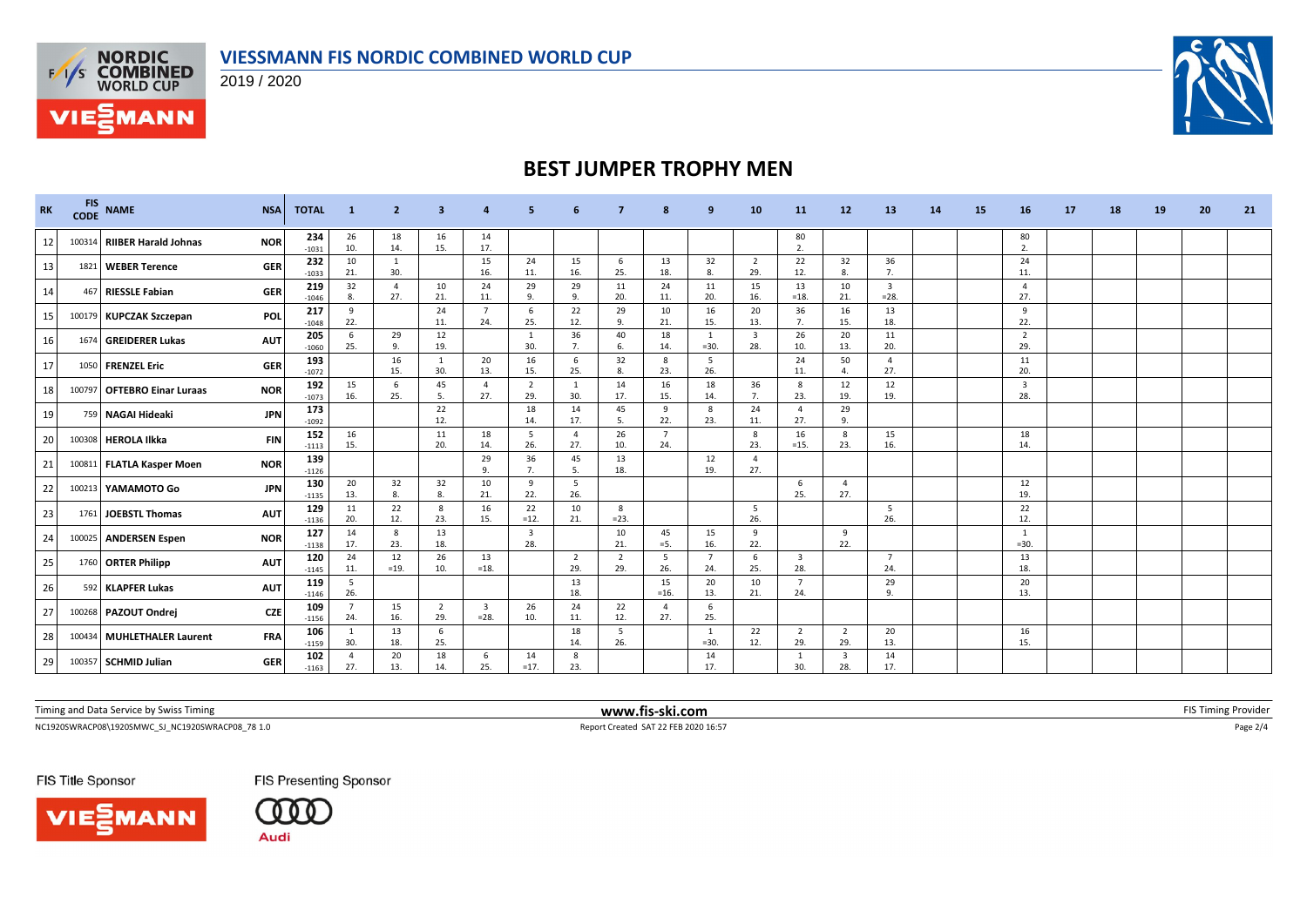



**VIESMANN** 

2019 / 2020



### **BEST JUMPER TROPHY MEN**

| <b>RK</b> | <b>FIS</b><br><b>CODE</b> | <b>NAME</b>                 | <b>NSA</b> | <b>TOTAL</b>   | -1                    | $\overline{2}$        | 3                     |                                   |                                |                     |                       |                       | 9                        | 10                             | <b>11</b>                      | 12                    | 13                                | 14 | 15 | 16                             | 17 | 18 | 19 | 20 | 21 |
|-----------|---------------------------|-----------------------------|------------|----------------|-----------------------|-----------------------|-----------------------|-----------------------------------|--------------------------------|---------------------|-----------------------|-----------------------|--------------------------|--------------------------------|--------------------------------|-----------------------|-----------------------------------|----|----|--------------------------------|----|----|----|----|----|
| 12        | 100314                    | RIIBER Harald Johnas        | <b>NOR</b> | 234<br>$-1031$ | 26<br>10.             | 18<br>14.             | 16<br>15.             | 14<br>17.                         |                                |                     |                       |                       |                          |                                | 80<br>2.                       |                       |                                   |    |    | 80<br>$\overline{2}$           |    |    |    |    |    |
| 13        |                           | 1821 WEBER Terence          | <b>GER</b> | 232<br>$-1033$ | 10<br>21.             | 1<br>30.              |                       | 15<br>16.                         | 24<br>11.                      | 15<br>16.           | 6<br>25.              | 13<br>18.             | 32<br>8.                 | $\overline{2}$<br>29.          | 22<br>12.                      | 32<br>8.              | 36<br>7.                          |    |    | 24<br>11.                      |    |    |    |    |    |
| 14        | 467                       | <b>RIESSLE Fabian</b>       | <b>GER</b> | 219<br>$-1046$ | 32<br>8.              | $\overline{4}$<br>27. | 10<br>21.             | 24<br>11.                         | 29<br>q                        | 29<br>9.            | 11<br>20.             | 24<br>11.             | 11<br>20.                | 15<br>16.                      | 13<br>$=18.$                   | 10<br>21.             | $\overline{\mathbf{3}}$<br>$=28.$ |    |    | $\overline{4}$<br>27.          |    |    |    |    |    |
| 15        |                           | 100179 KUPCZAK Szczepan     | POL        | 217<br>$-1048$ | 9<br>22.              |                       | 24<br>11.             | $\overline{7}$<br>24.             | 6<br>25.                       | 22<br>12.           | 29<br>9.              | 10<br>21.             | 16<br>15.                | 20<br>13.                      | 36<br>7.                       | 16<br>15.             | 13<br>18.                         |    |    | 9<br>22.                       |    |    |    |    |    |
| 16        | 1674                      | <b>GREIDERER Lukas</b>      | <b>AUT</b> | 205<br>$-1060$ | 6<br>25.              | 29<br>$\mathsf{q}$    | 12<br>19.             |                                   | 30.                            | 36<br>7.            | 40<br>6.              | 18<br>14.             | $\overline{1}$<br>$=30.$ | $\overline{\mathbf{3}}$<br>28. | 26<br>10.                      | 20<br>13.             | 11<br>20.                         |    |    | $\overline{2}$<br>29.          |    |    |    |    |    |
| 17        | 1050                      | <b>FRENZEL Eric</b>         | <b>GER</b> | 193<br>$-1072$ |                       | 16<br>15.             | 1<br>30.              | 20<br>13.                         | 16<br>15.                      | 6<br>25.            | 32<br>8.              | 8<br>23.              | 5<br>26.                 |                                | 24<br>11.                      | 50<br>4.              | $\overline{4}$<br>27.             |    |    | 11<br>20.                      |    |    |    |    |    |
| 18        | 100797                    | <b>OFTEBRO Einar Luraas</b> | <b>NOR</b> | 192<br>$-1073$ | 15<br>16.             | -6<br>25.             | 45<br>- 5.            | $\overline{4}$<br>27.             | $\overline{2}$<br>29.          | -1<br>30.           | 14<br>17.             | 16<br>15.             | 18<br>14.                | 36<br>7.                       | 8<br>23.                       | 12<br>19.             | 12<br>19.                         |    |    | $\overline{\mathbf{3}}$<br>28. |    |    |    |    |    |
| 19        |                           | 759 NAGAI Hideaki           | <b>JPN</b> | 173<br>$-1092$ |                       |                       | 22<br>12.             |                                   | 18<br>14.                      | 14<br>17.           | 45<br>5.              | 9<br>22.              | 8<br>23.                 | 24<br>11.                      | $\overline{4}$<br>27.          | 29<br>9.              |                                   |    |    |                                |    |    |    |    |    |
| 20        | 100308                    | <b>HEROLA Ilkka</b>         | <b>FIN</b> | 152<br>$-1113$ | 16<br>15.             |                       | 11<br>20.             | 18<br>14.                         | 5<br>26.                       | $\mathbf{A}$<br>27. | 26<br>10.             | $\overline{7}$<br>24. |                          | 8<br>23.                       | 16<br>$=15.$                   | 8<br>23.              | 15<br>16.                         |    |    | 18<br>14.                      |    |    |    |    |    |
| 21        |                           | 100811 FLATLA Kasper Moen   | <b>NOR</b> | 139<br>$-1126$ |                       |                       |                       | 29<br>9.                          | 36<br>7.                       | 45<br>-5.           | 13<br>18.             |                       | 12<br>19.                | $\overline{a}$<br>27.          |                                |                       |                                   |    |    |                                |    |    |    |    |    |
| 22        |                           | 100213 YAMAMOTO Go          | <b>JPN</b> | 130<br>$-1135$ | 20<br>13.             | 32<br>8.              | 32<br>8.              | 10<br>21.                         | 9<br>22.                       | -5<br>26.           |                       |                       |                          |                                | 6<br>25.                       | $\Delta$<br>27.       |                                   |    |    | 12<br>19.                      |    |    |    |    |    |
| 23        | 1761                      | JOEBSTL Thomas              | <b>AUT</b> | 129<br>$-1136$ | 11<br>20.             | 22<br>12.             | - 8<br>23.            | 16<br>15.                         | 22<br>$=12.$                   | 10<br>21.           | 8<br>$= 23.$          |                       |                          | 5<br>26.                       |                                |                       | -5<br>26.                         |    |    | 22<br>12.                      |    |    |    |    |    |
| 24        |                           | 100025 ANDERSEN Espen       | <b>NOR</b> | 127<br>$-1138$ | 14<br>17.             | 8<br>23.              | 13<br>18.             |                                   | $\overline{\mathbf{3}}$<br>28. |                     | 10<br>21.             | 45<br>$=$ 5.          | 15<br>16.                | 9<br>22.                       |                                | 9<br>22.              |                                   |    |    | -1<br>$=30.$                   |    |    |    |    |    |
| 25        |                           | 1760 ORTER Philipp          | <b>AUT</b> | 120<br>$-1145$ | 24<br>11.             | 12<br>$=19.$          | 26<br>10.             | 13<br>$=18.$                      |                                | 2<br>29.            | $\overline{2}$<br>29. | 5<br>26.              | 7<br>24.                 | 6<br>25.                       | $\overline{\mathbf{3}}$<br>28. |                       | $\overline{7}$<br>24.             |    |    | 13<br>18.                      |    |    |    |    |    |
| 26        |                           | 592 KLAPFER Lukas           | <b>AUT</b> | 119<br>$-1146$ | 5<br>26.              |                       |                       |                                   |                                | 13<br>18.           |                       | 15<br>$=16.$          | 20<br>13.                | 10<br>21.                      | $\overline{7}$<br>24.          |                       | 29<br>$\mathbf{q}$                |    |    | 20<br>13.                      |    |    |    |    |    |
| 27        |                           | 100268 PAZOUT Ondrej        | <b>CZE</b> | 109<br>$-1156$ | $\overline{7}$<br>24. | 15<br>16.             | $\overline{2}$<br>29. | $\overline{\mathbf{3}}$<br>$=28.$ | 26<br>10.                      | 24<br>11.           | 22<br>12.             | $\overline{a}$<br>27. | 6<br>25.                 |                                |                                |                       |                                   |    |    |                                |    |    |    |    |    |
| 28        | 100434                    | <b>MUHLETHALER Laurent</b>  | <b>FRA</b> | 106<br>$-1159$ | $\mathbf{1}$<br>30.   | 13<br>18.             | 6<br>25.              |                                   |                                | 18<br>14.           | -5<br>26.             |                       | -1<br>$=30.$             | 22<br>12.                      | $\overline{2}$<br>29.          | $\overline{2}$<br>29. | 20<br>13.                         |    |    | 16<br>15.                      |    |    |    |    |    |
| 29        | 100357                    | <b>SCHMID Julian</b>        | <b>GER</b> | 102<br>$-1163$ | 4<br>27.              | 20<br>13.             | 18<br>14.             | 6<br>25.                          | 14<br>$=17.$                   | -8<br>23.           |                       |                       | 14<br>17.                |                                | - 1<br>30.                     | 3<br>28.              | 14<br>17.                         |    |    |                                |    |    |    |    |    |

| Timing and Data Service<br>by Swiss Timing ' | www.fis-s<br>-ski.com | FIS I<br>, ovider<br>nıne |
|----------------------------------------------|-----------------------|---------------------------|
|                                              |                       |                           |

NC1920SWRACP08\1920SMWC\_SJ\_NC1920SWRACP08\_78 1.0 Report Created SAT 22 FEB 2020 16:57 Page 2/4

FIS Title Sponsor



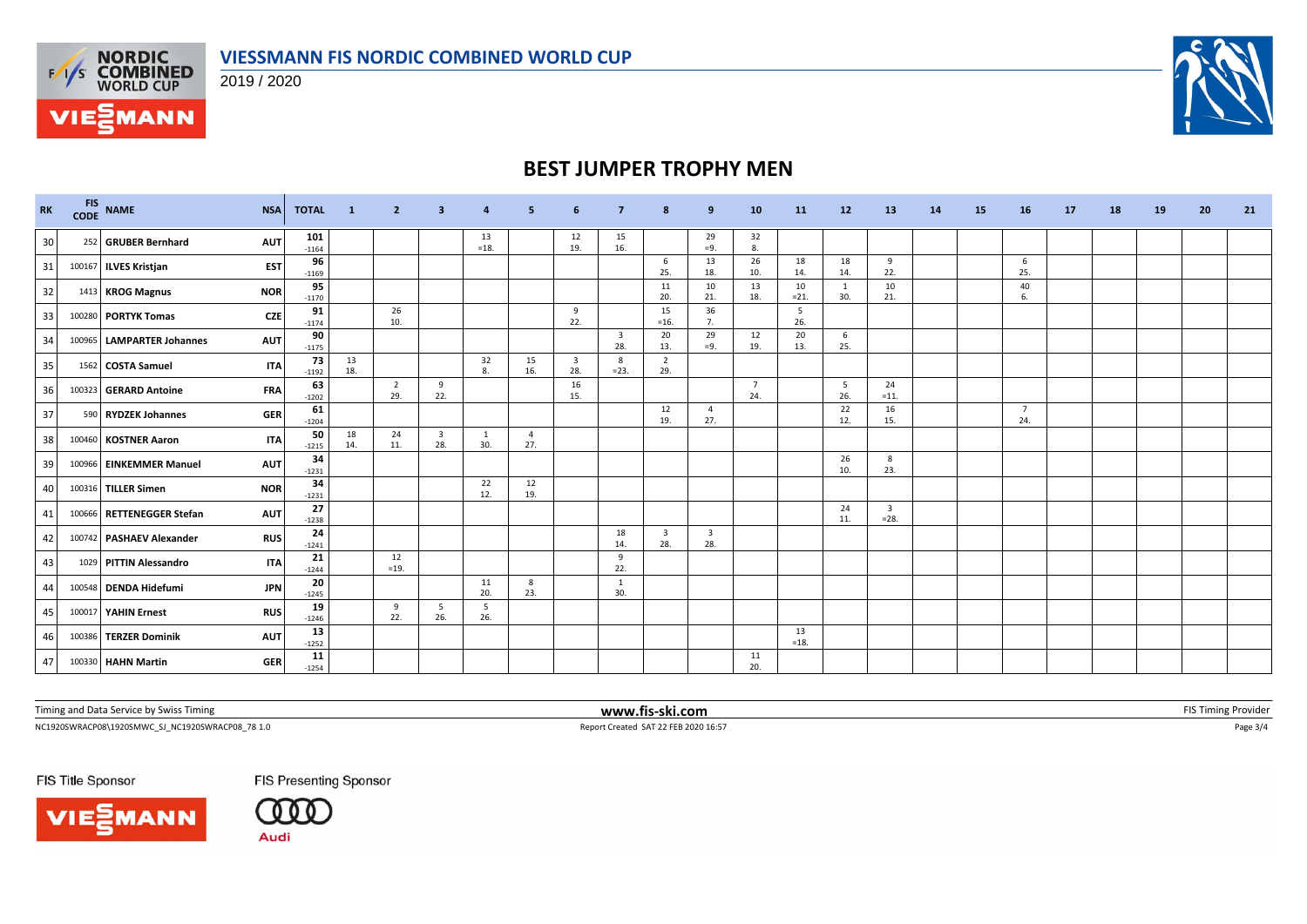

2019 / 2020



# **BEST JUMPER TROPHY MEN**

| RK              | <b>FIS</b><br><b>CODE</b> | $\ensuremath{\mathsf{NAME}}$ | <b>NSA</b> | <b>TOTAL</b>   | $\blacksquare$ | $\overline{2}$        | 3                              | 4            | 5                     | -6                             | 7                              | 8                              | 9           | 10                    | 11           | <b>12</b> | 13                                | <b>14</b> | 15 | 16        | 17 | 18 | 19 | 20 | 21 |
|-----------------|---------------------------|------------------------------|------------|----------------|----------------|-----------------------|--------------------------------|--------------|-----------------------|--------------------------------|--------------------------------|--------------------------------|-------------|-----------------------|--------------|-----------|-----------------------------------|-----------|----|-----------|----|----|----|----|----|
| 30 <sup>1</sup> |                           | 252 GRUBER Bernhard          | <b>AUT</b> | 101<br>$-1164$ |                |                       |                                | 13<br>$=18.$ |                       | 12<br>19.                      | 15<br>16.                      |                                | 29<br>$=9.$ | 32<br>8.              |              |           |                                   |           |    |           |    |    |    |    |    |
| 31              |                           | 100167 ILVES Kristjan        | <b>EST</b> | 96<br>$-1169$  |                |                       |                                |              |                       |                                |                                | -6<br>25.                      | 13<br>18.   | 26<br>10.             | 18<br>14.    | 18<br>14. | 9<br>22.                          |           |    | -6<br>25. |    |    |    |    |    |
| 32              |                           | 1413 KROG Magnus             | <b>NOR</b> | 95<br>$-1170$  |                |                       |                                |              |                       |                                |                                | 11<br>20.                      | 10<br>21.   | 13<br>18.             | 10<br>$=21.$ | 1<br>30.  | 10<br>21.                         |           |    | 40<br>6.  |    |    |    |    |    |
| 33              |                           | 100280 PORTYK Tomas          | <b>CZE</b> | 91<br>$-1174$  |                | 26<br>10.             |                                |              |                       | 9<br>22.                       |                                | 15<br>$=16.$                   | 36<br>7.    |                       | 5<br>26.     |           |                                   |           |    |           |    |    |    |    |    |
| 34              |                           | 100965 LAMPARTER Johannes    | <b>AUT</b> | 90<br>$-1175$  |                |                       |                                |              |                       |                                | $\overline{\mathbf{3}}$<br>28. | 20<br>13.                      | 29<br>$=9.$ | 12<br>19.             | 20<br>13.    | 6<br>25.  |                                   |           |    |           |    |    |    |    |    |
| 35              |                           | 1562 COSTA Samuel            | <b>ITA</b> | 73<br>$-1192$  | 13<br>18.      |                       |                                | 32<br>8.     | 15<br>16.             | $\overline{\mathbf{3}}$<br>28. | 8<br>$= 23.$                   | $\overline{2}$<br>29.          |             |                       |              |           |                                   |           |    |           |    |    |    |    |    |
| 36              |                           | 100323 GERARD Antoine        | <b>FRA</b> | 63<br>$-1202$  |                | $\overline{2}$<br>29. | 9<br>22.                       |              |                       | 16<br>15.                      |                                |                                |             | $\overline{7}$<br>24. |              | 5<br>26.  | 24<br>$=11.$                      |           |    |           |    |    |    |    |    |
| 37              |                           | 590 RYDZEK Johannes          | <b>GER</b> | 61<br>$-1204$  |                |                       |                                |              |                       |                                |                                | 12<br>19.                      | -4<br>27.   |                       |              | 22<br>12. | 16<br>15.                         |           |    | 7<br>24.  |    |    |    |    |    |
| 38              |                           | 100460 KOSTNER Aaron         | <b>ITA</b> | 50<br>$-1215$  | 18<br>14.      | 24<br>11.             | $\overline{\mathbf{3}}$<br>28. | 1<br>30.     | $\overline{4}$<br>27. |                                |                                |                                |             |                       |              |           |                                   |           |    |           |    |    |    |    |    |
| 39              |                           | 100966 EINKEMMER Manuel      | <b>AUT</b> | 34<br>$-1231$  |                |                       |                                |              |                       |                                |                                |                                |             |                       |              | 26<br>10. | 8<br>23.                          |           |    |           |    |    |    |    |    |
| 40              |                           | 100316 TILLER Simen          | <b>NOR</b> | 34<br>$-1231$  |                |                       |                                | 22<br>12.    | 12<br>19.             |                                |                                |                                |             |                       |              |           |                                   |           |    |           |    |    |    |    |    |
| 41              |                           | 100666 RETTENEGGER Stefan    | <b>AUT</b> | 27<br>$-1238$  |                |                       |                                |              |                       |                                |                                |                                |             |                       |              | 24<br>11. | $\overline{\mathbf{3}}$<br>$=28.$ |           |    |           |    |    |    |    |    |
| 42              |                           | 100742 PASHAEV Alexander     | <b>RUS</b> | 24<br>$-1241$  |                |                       |                                |              |                       |                                | 18<br>14.                      | $\overline{\mathbf{3}}$<br>28. | 3<br>28.    |                       |              |           |                                   |           |    |           |    |    |    |    |    |
| 43              |                           | 1029 PITTIN Alessandro       | <b>ITA</b> | 21<br>$-1244$  |                | 12<br>$=19.$          |                                |              |                       |                                | 9<br>22.                       |                                |             |                       |              |           |                                   |           |    |           |    |    |    |    |    |
| 44              |                           | 100548 DENDA Hidefumi        | <b>JPN</b> | 20<br>$-1245$  |                |                       |                                | 11<br>20.    | 8<br>23.              |                                | -1<br>30.                      |                                |             |                       |              |           |                                   |           |    |           |    |    |    |    |    |
| 45              |                           | 100017 YAHIN Ernest          | <b>RUS</b> | 19<br>$-1246$  |                | 9<br>22.              | 5<br>26.                       | - 5<br>26.   |                       |                                |                                |                                |             |                       |              |           |                                   |           |    |           |    |    |    |    |    |
| 46              |                           | 100386 TERZER Dominik        | <b>AUT</b> | 13<br>$-1252$  |                |                       |                                |              |                       |                                |                                |                                |             |                       | 13<br>$=18.$ |           |                                   |           |    |           |    |    |    |    |    |
| 47              |                           | 100330 HAHN Martin           | <b>GER</b> | 11<br>$-1254$  |                |                       |                                |              |                       |                                |                                |                                |             | 11<br>20.             |              |           |                                   |           |    |           |    |    |    |    |    |

Timing and Data Service by Swiss Timing **WWW.fis-ski.com WWW.fis-ski.com FIS** Timing Provider

NC1920SWRACP08\1920SMWC\_SJ\_NC1920SWRACP08\_78 1.0 <br>
Report Created SAT 22 FEB 2020 16:57 Page 3/4

FIS Title Sponsor